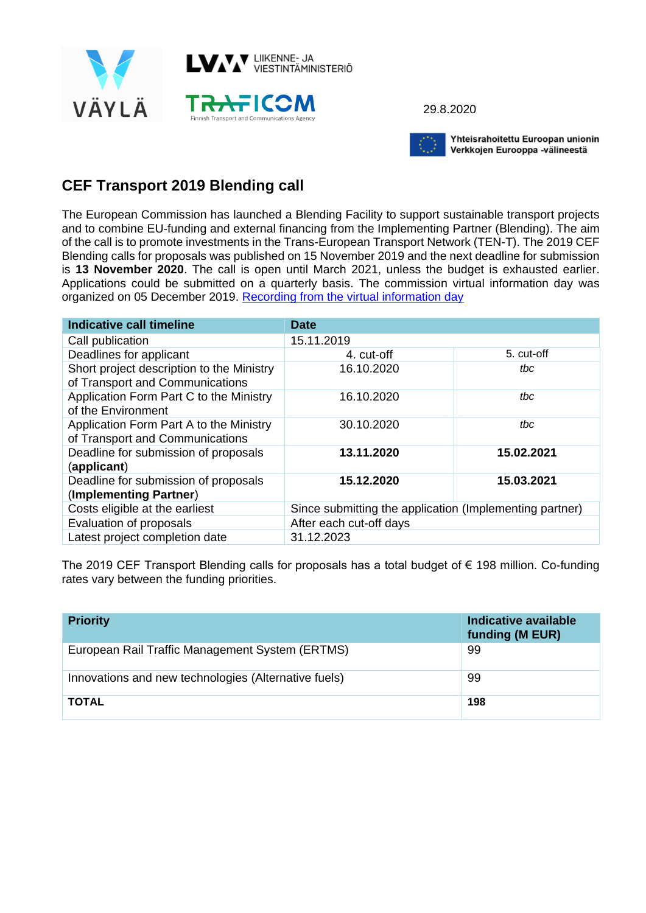

29.8.2020



Yhteisrahoitettu Euroopan unionin Verkkojen Eurooppa -välineestä

## **CEF Transport 2019 Blending call**

The European Commission has launched a Blending Facility to support sustainable transport projects and to combine EU-funding and external financing from the Implementing Partner (Blending). The aim of the call is to promote investments in the Trans-European Transport Network (TEN-T). The 2019 CEF Blending calls for proposals was published on 15 November 2019 and the next deadline for submission is **13 November 2020**. The call is open until March 2021, unless the budget is exhausted earlier. Applications could be submitted on a quarterly basis. The commission virtual information day was organized on 05 December 2019. [Recording from the virtual information day](https://ec.europa.eu/inea/en/news-events/events/2019-cef-transport-map-call-virtual-info-day)

| Indicative call timeline                                                     | <b>Date</b>                                             |            |
|------------------------------------------------------------------------------|---------------------------------------------------------|------------|
| Call publication                                                             | 15.11.2019                                              |            |
| Deadlines for applicant                                                      | 4. cut-off                                              | 5. cut-off |
| Short project description to the Ministry<br>of Transport and Communications | 16.10.2020                                              | tbc        |
| Application Form Part C to the Ministry<br>of the Environment                | 16.10.2020                                              | tbc        |
| Application Form Part A to the Ministry<br>of Transport and Communications   | 30.10.2020                                              | tbc        |
| Deadline for submission of proposals<br>(applicant)                          | 13.11.2020                                              | 15.02.2021 |
| Deadline for submission of proposals<br>(Implementing Partner)               | 15.12.2020                                              | 15.03.2021 |
| Costs eligible at the earliest                                               | Since submitting the application (Implementing partner) |            |
| Evaluation of proposals                                                      | After each cut-off days                                 |            |
| Latest project completion date                                               | 31.12.2023                                              |            |

The 2019 CEF Transport Blending calls for proposals has a total budget of € 198 million. Co-funding rates vary between the funding priorities.

| <b>Priority</b>                                      | Indicative available<br>funding (M EUR) |
|------------------------------------------------------|-----------------------------------------|
| European Rail Traffic Management System (ERTMS)      | 99                                      |
| Innovations and new technologies (Alternative fuels) | 99                                      |
| <b>TOTAL</b>                                         | 198                                     |